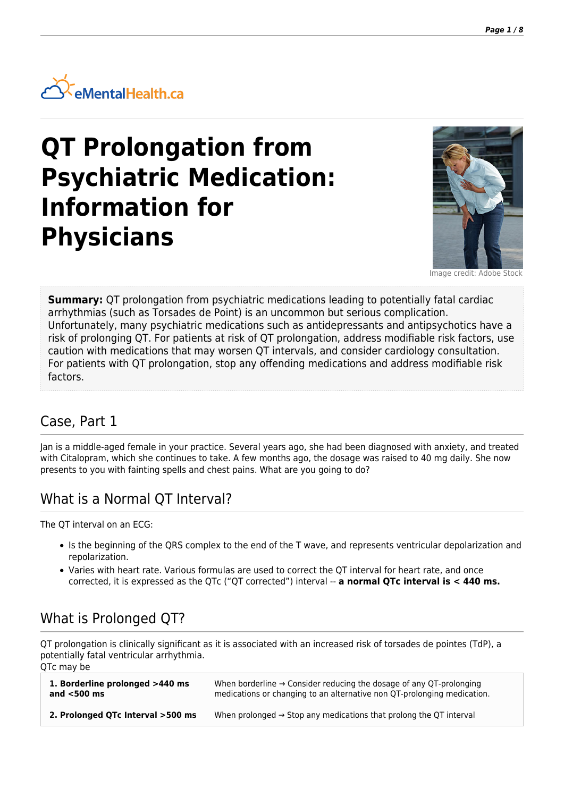

# **QT Prolongation from Psychiatric Medication: Information for Physicians**



Image credit: Adobe Stock

**Summary:** QT prolongation from psychiatric medications leading to potentially fatal cardiac arrhythmias (such as Torsades de Point) is an uncommon but serious complication. Unfortunately, many psychiatric medications such as antidepressants and antipsychotics have a risk of prolonging QT. For patients at risk of QT prolongation, address modifiable risk factors, use caution with medications that may worsen QT intervals, and consider cardiology consultation. For patients with QT prolongation, stop any offending medications and address modifiable risk factors.

#### Case, Part 1

Jan is a middle-aged female in your practice. Several years ago, she had been diagnosed with anxiety, and treated with Citalopram, which she continues to take. A few months ago, the dosage was raised to 40 mg daily. She now presents to you with fainting spells and chest pains. What are you going to do?

# What is a Normal QT Interval?

The QT interval on an ECG:

- Is the beginning of the QRS complex to the end of the T wave, and represents ventricular depolarization and repolarization.
- Varies with heart rate. Various formulas are used to correct the QT interval for heart rate, and once corrected, it is expressed as the QTc ("QT corrected") interval -- **a normal QTc interval is < 440 ms.**

# What is Prolonged QT?

QT prolongation is clinically significant as it is associated with an increased risk of torsades de pointes (TdP), a potentially fatal ventricular arrhythmia. QTc may be

| 1. Borderline prolonged >440 ms   | When borderline $\rightarrow$ Consider reducing the dosage of any QT-prolonging |
|-----------------------------------|---------------------------------------------------------------------------------|
| and $<$ 500 ms                    | medications or changing to an alternative non QT-prolonging medication.         |
| 2. Prolonged QTc Interval >500 ms | When prolonged $\rightarrow$ Stop any medications that prolong the QT interval  |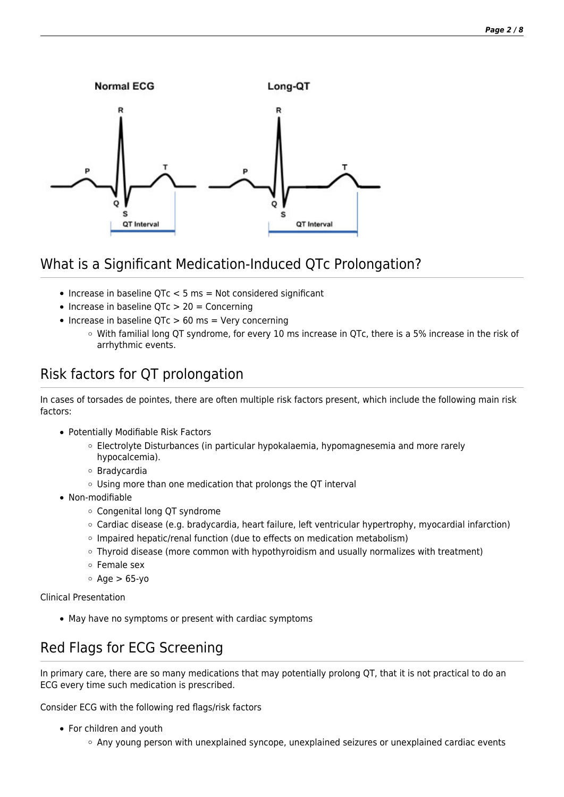

# What is a Significant Medication-Induced QTc Prolongation?

- $\bullet$  Increase in baseline QTc < 5 ms = Not considered significant
- $\bullet$  Increase in baseline QTc  $> 20 =$  Concerning
- $\bullet$  Increase in baseline QTc  $> 60$  ms = Very concerning
	- $\circ$  With familial long QT syndrome, for every 10 ms increase in QTc, there is a 5% increase in the risk of arrhythmic events.

# Risk factors for QT prolongation

In cases of torsades de pointes, there are often multiple risk factors present, which include the following main risk factors:

- Potentially Modifiable Risk Factors
	- Electrolyte Disturbances (in particular hypokalaemia, hypomagnesemia and more rarely hypocalcemia).
	- Bradycardia
	- Using more than one medication that prolongs the QT interval
- Non-modifiable
	- Congenital long QT syndrome
	- Cardiac disease (e.g. bradycardia, heart failure, left ventricular hypertrophy, myocardial infarction)
	- o Impaired hepatic/renal function (due to effects on medication metabolism)
	- Thyroid disease (more common with hypothyroidism and usually normalizes with treatment)
	- Female sex
	- $\circ$  Age  $> 65$ -yo

Clinical Presentation

May have no symptoms or present with cardiac symptoms

# Red Flags for ECG Screening

In primary care, there are so many medications that may potentially prolong QT, that it is not practical to do an ECG every time such medication is prescribed.

Consider ECG with the following red flags/risk factors

- For children and youth
	- Any young person with unexplained syncope, unexplained seizures or unexplained cardiac events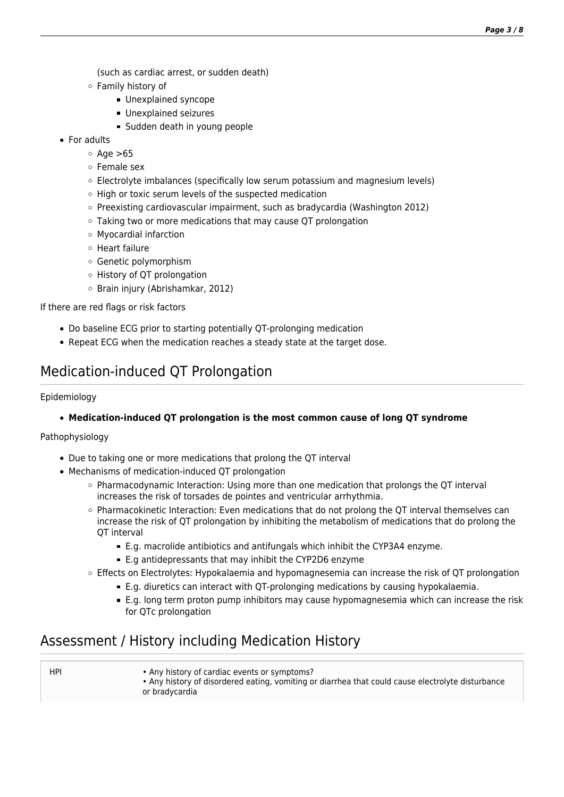(such as cardiac arrest, or sudden death)

- Family history of
	- **Unexplained syncope**
	- Unexplained seizures
	- Sudden death in young people
- For adults
	- $\circ$  Age  $>65$
	- Female sex
	- Electrolyte imbalances (specifically low serum potassium and magnesium levels)
	- High or toxic serum levels of the suspected medication
	- $\circ$  Preexisting cardiovascular impairment, such as bradycardia (Washington 2012)
	- Taking two or more medications that may cause QT prolongation
	- Myocardial infarction
	- Heart failure
	- Genetic polymorphism
	- History of QT prolongation
	- o Brain injury (Abrishamkar, 2012)

If there are red flags or risk factors

- Do baseline ECG prior to starting potentially QT-prolonging medication
- Repeat ECG when the medication reaches a steady state at the target dose.

## Medication-induced QT Prolongation

#### Epidemiology

#### **Medication-induced QT prolongation is the most common cause of long QT syndrome**

Pathophysiology

- Due to taking one or more medications that prolong the QT interval
- Mechanisms of medication-induced QT prolongation
	- $\circ$  Pharmacodynamic Interaction: Using more than one medication that prolongs the QT interval increases the risk of torsades de pointes and ventricular arrhythmia.
	- Pharmacokinetic Interaction: Even medications that do not prolong the QT interval themselves can increase the risk of QT prolongation by inhibiting the metabolism of medications that do prolong the OT interval
		- E.g. macrolide antibiotics and antifungals which inhibit the CYP3A4 enzyme.
		- E.g antidepressants that may inhibit the CYP2D6 enzyme
	- Effects on Electrolytes: Hypokalaemia and hypomagnesemia can increase the risk of QT prolongation
		- E.g. diuretics can interact with QT-prolonging medications by causing hypokalaemia.
		- E.g. long term proton pump inhibitors may cause hypomagnesemia which can increase the risk for QTc prolongation

## Assessment / History including Medication History

| HPI | • Any history of cardiac events or symptoms?<br>. Any history of disordered eating, vomiting or diarrhea that could cause electrolyte disturbance<br>or bradycardia |
|-----|---------------------------------------------------------------------------------------------------------------------------------------------------------------------|
|     |                                                                                                                                                                     |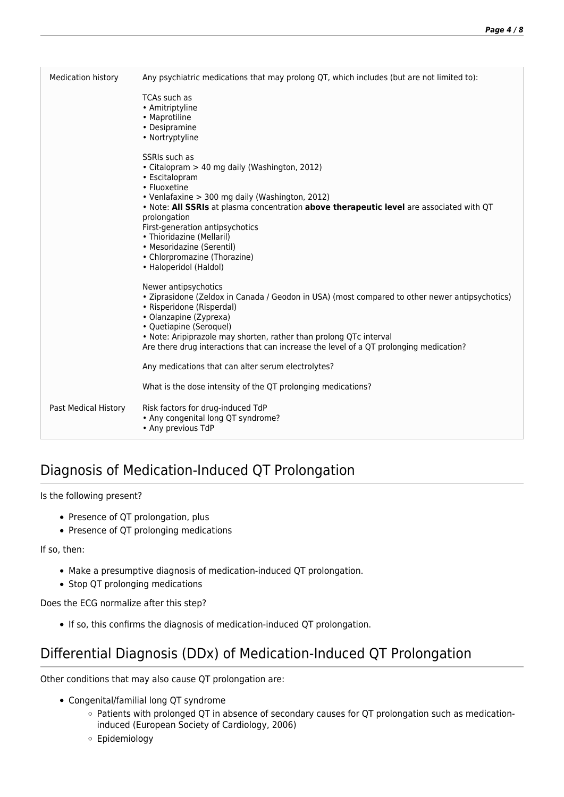| <b>Medication history</b> | Any psychiatric medications that may prolong QT, which includes (but are not limited to):                                                                                                                                                                                                                                                                                                                              |
|---------------------------|------------------------------------------------------------------------------------------------------------------------------------------------------------------------------------------------------------------------------------------------------------------------------------------------------------------------------------------------------------------------------------------------------------------------|
|                           | TCAs such as<br>• Amitriptyline<br>• Maprotiline<br>• Desipramine<br>• Nortryptyline                                                                                                                                                                                                                                                                                                                                   |
|                           | SSRIs such as<br>• Citalopram > 40 mg daily (Washington, 2012)<br>• Escitalopram<br>• Fluoxetine<br>• Venlafaxine > 300 mg daily (Washington, 2012)<br>. Note: All SSRIs at plasma concentration above therapeutic level are associated with QT<br>prolongation<br>First-generation antipsychotics<br>• Thioridazine (Mellaril)<br>• Mesoridazine (Serentil)<br>• Chlorpromazine (Thorazine)<br>• Haloperidol (Haldol) |
|                           | Newer antipsychotics<br>• Ziprasidone (Zeldox in Canada / Geodon in USA) (most compared to other newer antipsychotics)<br>• Risperidone (Risperdal)<br>• Olanzapine (Zyprexa)<br>• Quetiapine (Seroquel)<br>. Note: Aripiprazole may shorten, rather than prolong QTc interval<br>Are there drug interactions that can increase the level of a QT prolonging medication?                                               |
|                           | Any medications that can alter serum electrolytes?                                                                                                                                                                                                                                                                                                                                                                     |
|                           | What is the dose intensity of the QT prolonging medications?                                                                                                                                                                                                                                                                                                                                                           |
| Past Medical History      | Risk factors for drug-induced TdP<br>• Any congenital long QT syndrome?<br>• Any previous TdP                                                                                                                                                                                                                                                                                                                          |

# Diagnosis of Medication-Induced QT Prolongation

#### Is the following present?

- Presence of QT prolongation, plus
- Presence of QT prolonging medications

If so, then:

- Make a presumptive diagnosis of medication-induced QT prolongation.
- Stop QT prolonging medications

Does the ECG normalize after this step?

If so, this confirms the diagnosis of medication-induced QT prolongation.

## Differential Diagnosis (DDx) of Medication-Induced QT Prolongation

Other conditions that may also cause QT prolongation are:

- Congenital/familial long QT syndrome
	- Patients with prolonged QT in absence of secondary causes for QT prolongation such as medicationinduced (European Society of Cardiology, 2006)
	- Epidemiology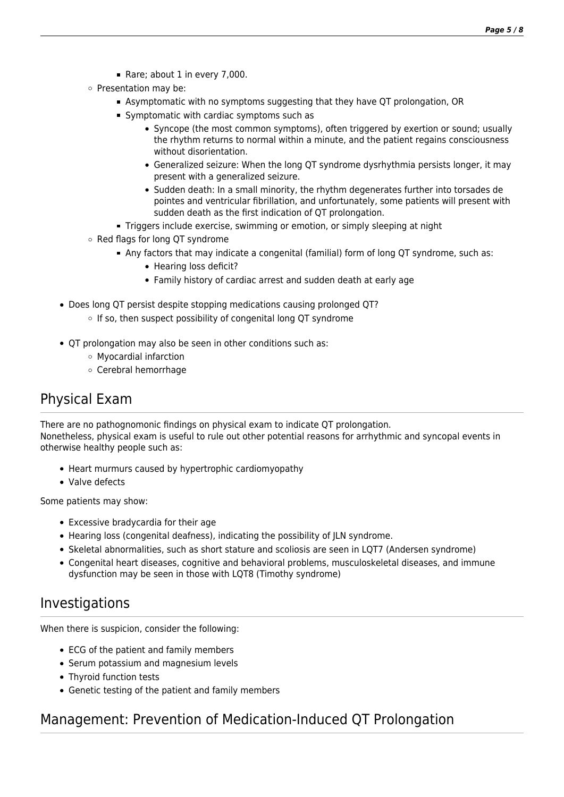- Rare; about 1 in every 7,000.
- o Presentation may be:
	- Asymptomatic with no symptoms suggesting that they have QT prolongation, OR
	- Symptomatic with cardiac symptoms such as
		- Syncope (the most common symptoms), often triggered by exertion or sound; usually the rhythm returns to normal within a minute, and the patient regains consciousness without disorientation.
		- Generalized seizure: When the long QT syndrome dysrhythmia persists longer, it may present with a generalized seizure.
		- Sudden death: In a small minority, the rhythm degenerates further into torsades de pointes and ventricular fibrillation, and unfortunately, some patients will present with sudden death as the first indication of QT prolongation.
	- Triggers include exercise, swimming or emotion, or simply sleeping at night
- o Red flags for long QT syndrome
	- Any factors that may indicate a congenital (familial) form of long QT syndrome, such as:
		- Hearing loss deficit?
		- Family history of cardiac arrest and sudden death at early age
- Does long QT persist despite stopping medications causing prolonged QT?
	- $\circ$  If so, then suspect possibility of congenital long QT syndrome
- QT prolongation may also be seen in other conditions such as:
	- Myocardial infarction
	- Cerebral hemorrhage

#### Physical Exam

There are no pathognomonic findings on physical exam to indicate QT prolongation. Nonetheless, physical exam is useful to rule out other potential reasons for arrhythmic and syncopal events in otherwise healthy people such as:

- Heart murmurs caused by hypertrophic cardiomyopathy
- Valve defects

Some patients may show:

- Excessive bradycardia for their age
- Hearing loss (congenital deafness), indicating the possibility of JLN syndrome.
- Skeletal abnormalities, such as short stature and scoliosis are seen in LQT7 (Andersen syndrome)
- Congenital heart diseases, cognitive and behavioral problems, musculoskeletal diseases, and immune dysfunction may be seen in those with LQT8 (Timothy syndrome)

#### Investigations

When there is suspicion, consider the following:

- ECG of the patient and family members
- Serum potassium and magnesium levels
- Thyroid function tests
- Genetic testing of the patient and family members

## Management: Prevention of Medication-Induced QT Prolongation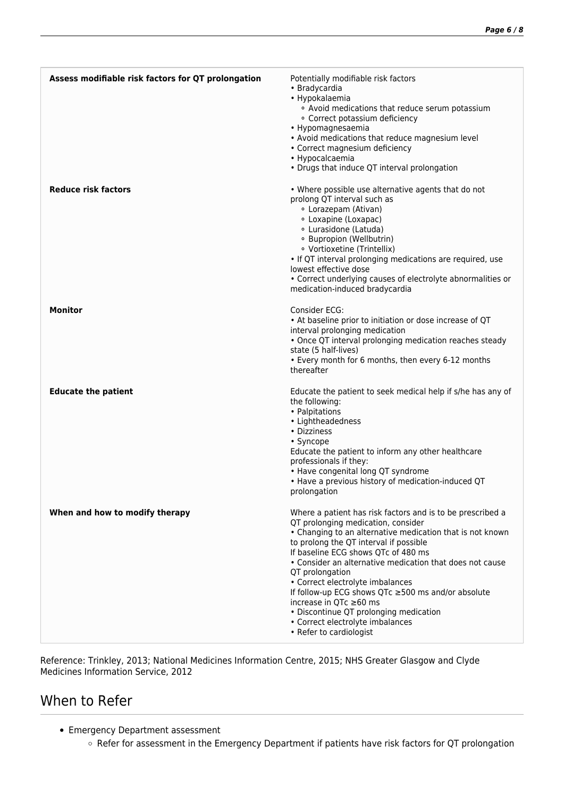| Assess modifiable risk factors for QT prolongation | Potentially modifiable risk factors<br>• Bradycardia<br>• Hypokalaemia<br>• Avoid medications that reduce serum potassium<br>· Correct potassium deficiency<br>• Hypomagnesaemia<br>• Avoid medications that reduce magnesium level<br>• Correct magnesium deficiency<br>• Hypocalcaemia<br>• Drugs that induce QT interval prolongation                                                                                                                                                                                                                   |
|----------------------------------------------------|------------------------------------------------------------------------------------------------------------------------------------------------------------------------------------------------------------------------------------------------------------------------------------------------------------------------------------------------------------------------------------------------------------------------------------------------------------------------------------------------------------------------------------------------------------|
| <b>Reduce risk factors</b>                         | • Where possible use alternative agents that do not<br>prolong QT interval such as<br>· Lorazepam (Ativan)<br>• Loxapine (Loxapac)<br>• Lurasidone (Latuda)<br>· Bupropion (Wellbutrin)<br>· Vortioxetine (Trintellix)<br>• If QT interval prolonging medications are required, use<br>lowest effective dose<br>• Correct underlying causes of electrolyte abnormalities or<br>medication-induced bradycardia                                                                                                                                              |
| <b>Monitor</b>                                     | Consider ECG:<br>• At baseline prior to initiation or dose increase of QT<br>interval prolonging medication<br>• Once QT interval prolonging medication reaches steady<br>state (5 half-lives)<br>• Every month for 6 months, then every 6-12 months<br>thereafter                                                                                                                                                                                                                                                                                         |
| <b>Educate the patient</b>                         | Educate the patient to seek medical help if s/he has any of<br>the following:<br>• Palpitations<br>• Lightheadedness<br>• Dizziness<br>• Syncope<br>Educate the patient to inform any other healthcare<br>professionals if they:<br>• Have congenital long QT syndrome<br>• Have a previous history of medication-induced QT<br>prolongation                                                                                                                                                                                                               |
| When and how to modify therapy                     | Where a patient has risk factors and is to be prescribed a<br>QT prolonging medication, consider<br>• Changing to an alternative medication that is not known<br>to prolong the QT interval if possible<br>If baseline ECG shows QTc of 480 ms<br>• Consider an alternative medication that does not cause<br>QT prolongation<br>• Correct electrolyte imbalances<br>If follow-up ECG shows QTc ≥500 ms and/or absolute<br>increase in QTc ≥60 ms<br>• Discontinue QT prolonging medication<br>• Correct electrolyte imbalances<br>• Refer to cardiologist |

Reference: Trinkley, 2013; National Medicines Information Centre, 2015; NHS Greater Glasgow and Clyde Medicines Information Service, 2012

## When to Refer

- Emergency Department assessment
	- Refer for assessment in the Emergency Department if patients have risk factors for QT prolongation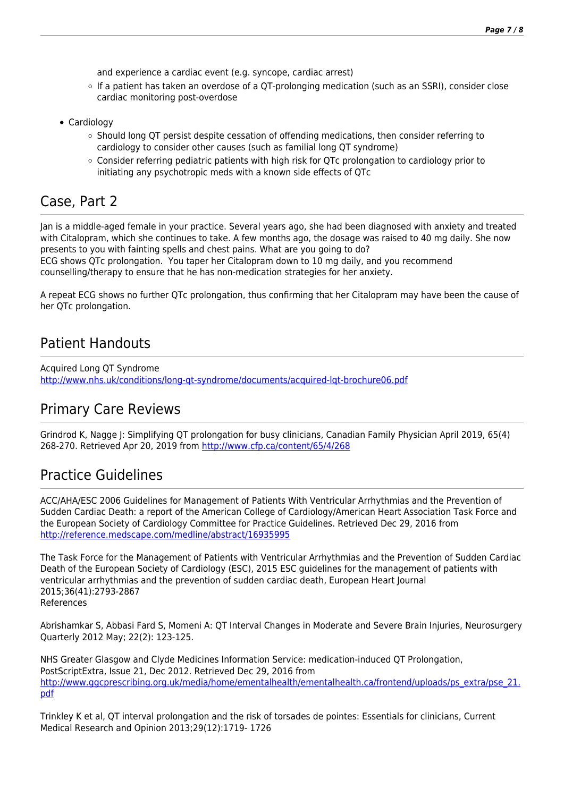and experience a cardiac event (e.g. syncope, cardiac arrest)

- If a patient has taken an overdose of a QT-prolonging medication (such as an SSRI), consider close cardiac monitoring post-overdose
- Cardiology
	- $\circ$  Should long QT persist despite cessation of offending medications, then consider referring to cardiology to consider other causes (such as familial long QT syndrome)
	- Consider referring pediatric patients with high risk for QTc prolongation to cardiology prior to initiating any psychotropic meds with a known side effects of QTc

#### Case, Part 2

Jan is a middle-aged female in your practice. Several years ago, she had been diagnosed with anxiety and treated with Citalopram, which she continues to take. A few months ago, the dosage was raised to 40 mg daily. She now presents to you with fainting spells and chest pains. What are you going to do?

ECG shows QTc prolongation. You taper her Citalopram down to 10 mg daily, and you recommend counselling/therapy to ensure that he has non-medication strategies for her anxiety.

A repeat ECG shows no further QTc prolongation, thus confirming that her Citalopram may have been the cause of her QTc prolongation.

#### Patient Handouts

Acquired Long QT Syndrome <http://www.nhs.uk/conditions/long-qt-syndrome/documents/acquired-lqt-brochure06.pdf>

#### Primary Care Reviews

Grindrod K, Nagge J: Simplifying QT prolongation for busy clinicians, Canadian Family Physician April 2019, 65(4) 268-270. Retrieved Apr 20, 2019 from<http://www.cfp.ca/content/65/4/268>

#### Practice Guidelines

ACC/AHA/ESC 2006 Guidelines for Management of Patients With Ventricular Arrhythmias and the Prevention of Sudden Cardiac Death: a report of the American College of Cardiology/American Heart Association Task Force and the European Society of Cardiology Committee for Practice Guidelines. Retrieved Dec 29, 2016 from <http://reference.medscape.com/medline/abstract/16935995>

The Task Force for the Management of Patients with Ventricular Arrhythmias and the Prevention of Sudden Cardiac Death of the European Society of Cardiology (ESC), 2015 ESC guidelines for the management of patients with ventricular arrhythmias and the prevention of sudden cardiac death, European Heart Journal 2015;36(41):2793-2867 References

Abrishamkar S, Abbasi Fard S, Momeni A: QT Interval Changes in Moderate and Severe Brain Injuries, Neurosurgery Quarterly 2012 May; 22(2): 123-125.

NHS Greater Glasgow and Clyde Medicines Information Service: medication-induced QT Prolongation, PostScriptExtra, Issue 21, Dec 2012. Retrieved Dec 29, 2016 from [http://www.ggcprescribing.org.uk/media/home/ementalhealth/ementalhealth.ca/frontend/uploads/ps\\_extra/pse\\_21.](http://www.ggcprescribing.org.uk/media/home/ementalhealth/ementalhealth.ca/frontend/uploads/ps_extra/pse_21.pdf) [pdf](http://www.ggcprescribing.org.uk/media/home/ementalhealth/ementalhealth.ca/frontend/uploads/ps_extra/pse_21.pdf)

Trinkley K et al, QT interval prolongation and the risk of torsades de pointes: Essentials for clinicians, Current Medical Research and Opinion 2013;29(12):1719- 1726